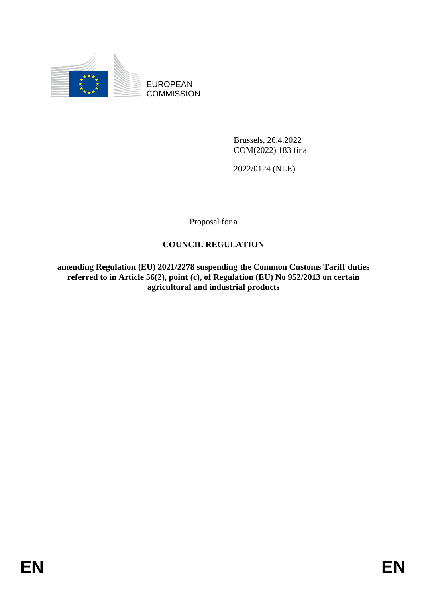

EUROPEAN **COMMISSION** 

> Brussels, 26.4.2022 COM(2022) 183 final

2022/0124 (NLE)

Proposal for a

# **COUNCIL REGULATION**

**amending Regulation (EU) 2021/2278 suspending the Common Customs Tariff duties referred to in Article 56(2), point (c), of Regulation (EU) No 952/2013 on certain agricultural and industrial products**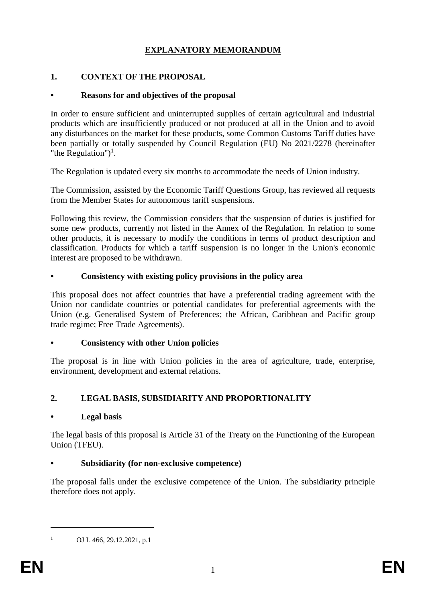# **EXPLANATORY MEMORANDUM**

## **1. CONTEXT OF THE PROPOSAL**

## **• Reasons for and objectives of the proposal**

In order to ensure sufficient and uninterrupted supplies of certain agricultural and industrial products which are insufficiently produced or not produced at all in the Union and to avoid any disturbances on the market for these products, some Common Customs Tariff duties have been partially or totally suspended by Council Regulation (EU) No 2021/2278 (hereinafter "the Regulation")<sup>1</sup>.

The Regulation is updated every six months to accommodate the needs of Union industry.

The Commission, assisted by the Economic Tariff Questions Group, has reviewed all requests from the Member States for autonomous tariff suspensions.

Following this review, the Commission considers that the suspension of duties is justified for some new products, currently not listed in the Annex of the Regulation. In relation to some other products, it is necessary to modify the conditions in terms of product description and classification. Products for which a tariff suspension is no longer in the Union's economic interest are proposed to be withdrawn.

### **• Consistency with existing policy provisions in the policy area**

This proposal does not affect countries that have a preferential trading agreement with the Union nor candidate countries or potential candidates for preferential agreements with the Union (e.g. Generalised System of Preferences; the African, Caribbean and Pacific group trade regime; Free Trade Agreements).

#### **• Consistency with other Union policies**

The proposal is in line with Union policies in the area of agriculture, trade, enterprise, environment, development and external relations.

# **2. LEGAL BASIS, SUBSIDIARITY AND PROPORTIONALITY**

## **• Legal basis**

The legal basis of this proposal is Article 31 of the Treaty on the Functioning of the European Union (TFEU).

## **• Subsidiarity (for non-exclusive competence)**

The proposal falls under the exclusive competence of the Union. The subsidiarity principle therefore does not apply.

<u>.</u>

<sup>&</sup>lt;sup>1</sup> OJ L 466, 29.12.2021, p.1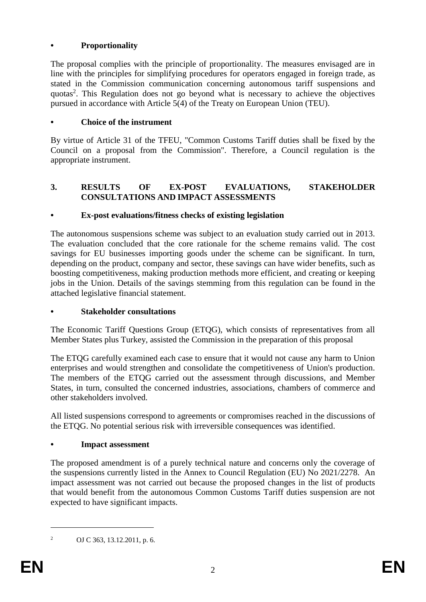## **• Proportionality**

The proposal complies with the principle of proportionality. The measures envisaged are in line with the principles for simplifying procedures for operators engaged in foreign trade, as stated in the Commission communication concerning autonomous tariff suspensions and quotas<sup>2</sup>. This Regulation does not go beyond what is necessary to achieve the objectives pursued in accordance with Article 5(4) of the Treaty on European Union (TEU).

## **• Choice of the instrument**

By virtue of Article 31 of the TFEU, "Common Customs Tariff duties shall be fixed by the Council on a proposal from the Commission". Therefore, a Council regulation is the appropriate instrument.

## **3. RESULTS OF EX-POST EVALUATIONS, STAKEHOLDER CONSULTATIONS AND IMPACT ASSESSMENTS**

# **• Ex-post evaluations/fitness checks of existing legislation**

The autonomous suspensions scheme was subject to an evaluation study carried out in 2013. The evaluation concluded that the core rationale for the scheme remains valid. The cost savings for EU businesses importing goods under the scheme can be significant. In turn, depending on the product, company and sector, these savings can have wider benefits, such as boosting competitiveness, making production methods more efficient, and creating or keeping jobs in the Union. Details of the savings stemming from this regulation can be found in the attached legislative financial statement.

## **• Stakeholder consultations**

The Economic Tariff Questions Group (ETQG), which consists of representatives from all Member States plus Turkey, assisted the Commission in the preparation of this proposal

The ETQG carefully examined each case to ensure that it would not cause any harm to Union enterprises and would strengthen and consolidate the competitiveness of Union's production. The members of the ETQG carried out the assessment through discussions, and Member States, in turn, consulted the concerned industries, associations, chambers of commerce and other stakeholders involved.

All listed suspensions correspond to agreements or compromises reached in the discussions of the ETQG. No potential serious risk with irreversible consequences was identified.

## **• Impact assessment**

The proposed amendment is of a purely technical nature and concerns only the coverage of the suspensions currently listed in the Annex to Council Regulation (EU) No 2021/2278. An impact assessment was not carried out because the proposed changes in the list of products that would benefit from the autonomous Common Customs Tariff duties suspension are not expected to have significant impacts.

<u>.</u>

<sup>2</sup> OJ C 363, 13.12.2011, p. 6.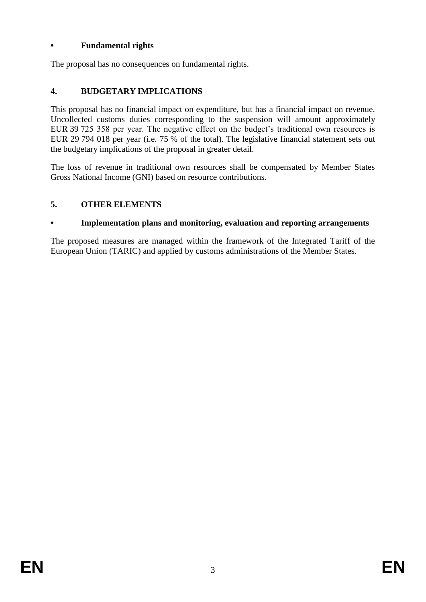# **• Fundamental rights**

The proposal has no consequences on fundamental rights.

## **4. BUDGETARY IMPLICATIONS**

This proposal has no financial impact on expenditure, but has a financial impact on revenue. Uncollected customs duties corresponding to the suspension will amount approximately EUR 39 725 358 per year. The negative effect on the budget's traditional own resources is EUR 29 794 018 per year (i.e. 75 % of the total). The legislative financial statement sets out the budgetary implications of the proposal in greater detail.

The loss of revenue in traditional own resources shall be compensated by Member States Gross National Income (GNI) based on resource contributions.

# **5. OTHER ELEMENTS**

## **• Implementation plans and monitoring, evaluation and reporting arrangements**

The proposed measures are managed within the framework of the Integrated Tariff of the European Union (TARIC) and applied by customs administrations of the Member States.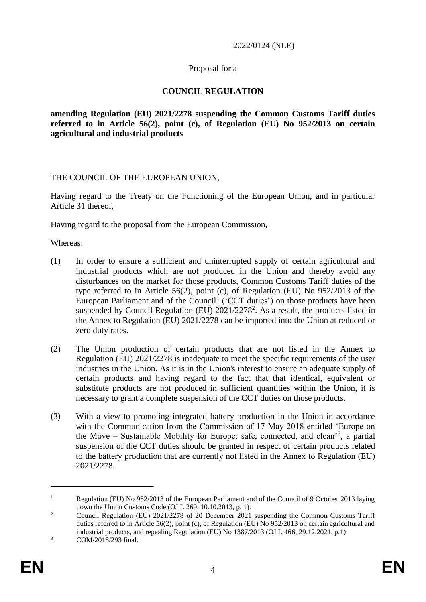#### 2022/0124 (NLE)

#### Proposal for a

### **COUNCIL REGULATION**

**amending Regulation (EU) 2021/2278 suspending the Common Customs Tariff duties referred to in Article 56(2), point (c), of Regulation (EU) No 952/2013 on certain agricultural and industrial products**

THE COUNCIL OF THE EUROPEAN UNION,

Having regard to the Treaty on the Functioning of the European Union, and in particular Article 31 thereof,

Having regard to the proposal from the European Commission,

Whereas:

- (1) In order to ensure a sufficient and uninterrupted supply of certain agricultural and industrial products which are not produced in the Union and thereby avoid any disturbances on the market for those products, Common Customs Tariff duties of the type referred to in Article 56(2), point (c), of Regulation (EU) No 952/2013 of the European Parliament and of the Council<sup>1</sup> ('CCT duties') on those products have been suspended by Council Regulation (EU)  $2021/2278^2$ . As a result, the products listed in the Annex to Regulation (EU) 2021/2278 can be imported into the Union at reduced or zero duty rates.
- (2) The Union production of certain products that are not listed in the Annex to Regulation (EU) 2021/2278 is inadequate to meet the specific requirements of the user industries in the Union. As it is in the Union's interest to ensure an adequate supply of certain products and having regard to the fact that that identical, equivalent or substitute products are not produced in sufficient quantities within the Union, it is necessary to grant a complete suspension of the CCT duties on those products.
- (3) With a view to promoting integrated battery production in the Union in accordance with the Communication from the Commission of 17 May 2018 entitled 'Europe on the Move – Sustainable Mobility for Europe: safe, connected, and clean<sup>3</sup>, a partial suspension of the CCT duties should be granted in respect of certain products related to the battery production that are currently not listed in the Annex to Regulation (EU) 2021/2278.

1

<sup>&</sup>lt;sup>1</sup> Regulation (EU) No 952/2013 of the European Parliament and of the Council of 9 October 2013 laying down the Union Customs Code (OJ L 269, 10.10.2013, p. 1).

<sup>&</sup>lt;sup>2</sup> Council Regulation (EU)  $2021/2278$  of 20 December 2021 suspending the Common Customs Tariff duties referred to in Article 56(2), point (c), of Regulation (EU) No 952/2013 on certain agricultural and industrial products, and repealing Regulation (EU) No 1387/2013 (OJ L 466, 29.12.2021, p.1) <sup>3</sup> COM/2018/293 final.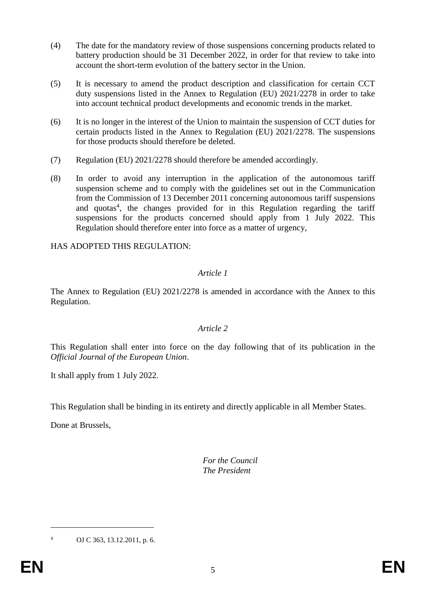- (4) The date for the mandatory review of those suspensions concerning products related to battery production should be 31 December 2022, in order for that review to take into account the short-term evolution of the battery sector in the Union.
- (5) It is necessary to amend the product description and classification for certain CCT duty suspensions listed in the Annex to Regulation (EU) 2021/2278 in order to take into account technical product developments and economic trends in the market.
- (6) It is no longer in the interest of the Union to maintain the suspension of CCT duties for certain products listed in the Annex to Regulation (EU) 2021/2278. The suspensions for those products should therefore be deleted.
- (7) Regulation (EU) 2021/2278 should therefore be amended accordingly.
- (8) In order to avoid any interruption in the application of the autonomous tariff suspension scheme and to comply with the guidelines set out in the Communication from the Commission of 13 December 2011 concerning autonomous tariff suspensions and quotas<sup>4</sup>, the changes provided for in this Regulation regarding the tariff suspensions for the products concerned should apply from 1 July 2022. This Regulation should therefore enter into force as a matter of urgency,

HAS ADOPTED THIS REGULATION:

## *Article 1*

The Annex to Regulation (EU) 2021/2278 is amended in accordance with the Annex to this Regulation.

## *Article 2*

This Regulation shall enter into force on the day following that of its publication in the *Official Journal of the European Union*.

It shall apply from 1 July 2022.

This Regulation shall be binding in its entirety and directly applicable in all Member States.

Done at Brussels,

*For the Council The President*

<u>.</u>

<sup>4</sup> OJ C 363, 13.12.2011, p. 6.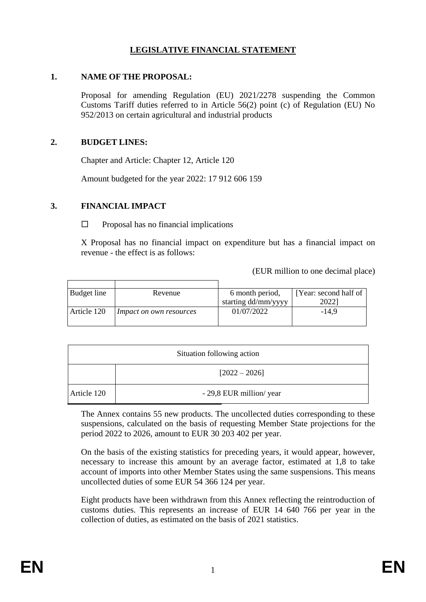# **LEGISLATIVE FINANCIAL STATEMENT**

#### **1. NAME OF THE PROPOSAL:**

Proposal for amending Regulation (EU) 2021/2278 suspending the Common Customs Tariff duties referred to in Article 56(2) point (c) of Regulation (EU) No 952/2013 on certain agricultural and industrial products

### **2. BUDGET LINES:**

Chapter and Article: Chapter 12, Article 120

Amount budgeted for the year 2022: 17 912 606 159

## **3. FINANCIAL IMPACT**

 $\Box$  Proposal has no financial implications

X Proposal has no financial impact on expenditure but has a financial impact on revenue - the effect is as follows:

(EUR million to one decimal place)

| Budget line | Revenue                        | 6 month period,     | [Year: second half of |
|-------------|--------------------------------|---------------------|-----------------------|
|             |                                | starting dd/mm/yyyy | 2022`                 |
| Article 120 | <i>Impact on own resources</i> | 01/07/2022          | $-14.9$               |

| Situation following action |                          |  |  |
|----------------------------|--------------------------|--|--|
|                            | $[2022 - 2026]$          |  |  |
| Article 120                | - 29,8 EUR million/ year |  |  |

The Annex contains 55 new products. The uncollected duties corresponding to these suspensions, calculated on the basis of requesting Member State projections for the period 2022 to 2026, amount to EUR 30 203 402 per year.

On the basis of the existing statistics for preceding years, it would appear, however, necessary to increase this amount by an average factor, estimated at 1,8 to take account of imports into other Member States using the same suspensions. This means uncollected duties of some EUR 54 366 124 per year.

Eight products have been withdrawn from this Annex reflecting the reintroduction of customs duties. This represents an increase of EUR 14 640 766 per year in the collection of duties, as estimated on the basis of 2021 statistics.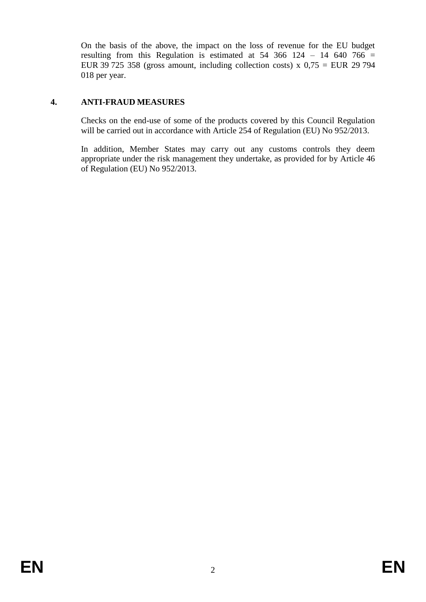On the basis of the above, the impact on the loss of revenue for the EU budget resulting from this Regulation is estimated at  $54\,366\,124 - 14\,640\,766 =$ EUR 39 725 358 (gross amount, including collection costs) x  $0.75$  = EUR 29 794 018 per year.

## **4. ANTI-FRAUD MEASURES**

Checks on the end-use of some of the products covered by this Council Regulation will be carried out in accordance with Article 254 of Regulation (EU) No 952/2013.

In addition, Member States may carry out any customs controls they deem appropriate under the risk management they undertake, as provided for by Article 46 of Regulation (EU) No 952/2013.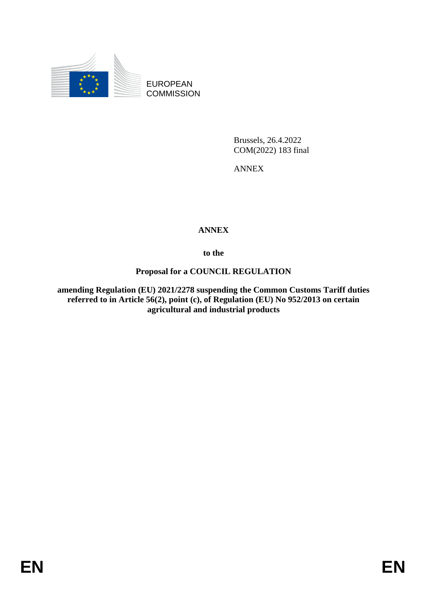

EUROPEAN **COMMISSION** 

> Brussels, 26.4.2022 COM(2022) 183 final

ANNEX

# **ANNEX**

**to the**

## **Proposal for a COUNCIL REGULATION**

**amending Regulation (EU) 2021/2278 suspending the Common Customs Tariff duties referred to in Article 56(2), point (c), of Regulation (EU) No 952/2013 on certain agricultural and industrial products**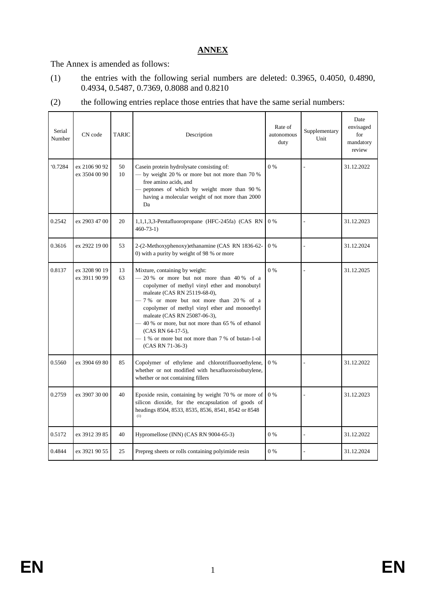## **ANNEX**

The Annex is amended as follows:

- (1) the entries with the following serial numbers are deleted: 0.3965, 0.4050, 0.4890, 0.4934, 0.5487, 0.7369, 0.8088 and 0.8210
- (2) the following entries replace those entries that have the same serial numbers:

| Serial<br>Number | CN code                        | <b>TARIC</b> | Description                                                                                                                                                                                                                                                                                                                                                                                                                                | Rate of<br>autonomous<br>duty | Supplementary<br>Unit | Date<br>envisaged<br>for<br>mandatory<br>review |
|------------------|--------------------------------|--------------|--------------------------------------------------------------------------------------------------------------------------------------------------------------------------------------------------------------------------------------------------------------------------------------------------------------------------------------------------------------------------------------------------------------------------------------------|-------------------------------|-----------------------|-------------------------------------------------|
| 0.7284           | ex 2106 90 92<br>ex 3504 00 90 | 50<br>10     | Casein protein hydrolysate consisting of:<br>$-$ by weight 20 % or more but not more than 70 %<br>free amino acids, and<br>peptones of which by weight more than 90 %<br>having a molecular weight of not more than 2000<br>Da                                                                                                                                                                                                             | $0\%$                         |                       | 31.12.2022                                      |
| 0.2542           | ex 2903 47 00                  | 20           | 1,1,1,3,3-Pentafluoropropane (HFC-245fa) (CAS RN<br>$460 - 73 - 1$                                                                                                                                                                                                                                                                                                                                                                         | 0%                            |                       | 31.12.2023                                      |
| 0.3616           | ex 2922 19 00                  | 53           | 2-(2-Methoxyphenoxy)ethanamine (CAS RN 1836-62-<br>0) with a purity by weight of 98 % or more                                                                                                                                                                                                                                                                                                                                              | $0\%$                         |                       | 31.12.2024                                      |
| 0.8137           | ex 3208 90 19<br>ex 3911 90 99 | 13<br>63     | Mixture, containing by weight:<br>20 % or more but not more than 40 % of a<br>copolymer of methyl vinyl ether and monobutyl<br>maleate (CAS RN 25119-68-0),<br>$-7%$ or more but not more than 20% of a<br>copolymer of methyl vinyl ether and monoethyl<br>maleate (CAS RN 25087-06-3),<br>-40 % or more, but not more than 65 % of ethanol<br>(CAS RN 64-17-5),<br>- 1 % or more but not more than 7 % of butan-1-ol<br>(CAS RN 71-36-3) | $0\%$                         |                       | 31.12.2025                                      |
| 0.5560           | ex 3904 69 80                  | 85           | Copolymer of ethylene and chlorotrifluoroethylene,<br>whether or not modified with hexafluoroisobutylene,<br>whether or not containing fillers                                                                                                                                                                                                                                                                                             | 0%                            |                       | 31.12.2022                                      |
| 0.2759           | ex 3907 30 00                  | 40           | Epoxide resin, containing by weight 70 % or more of<br>silicon dioxide, for the encapsulation of goods of<br>headings 8504, 8533, 8535, 8536, 8541, 8542 or 8548<br>(1)                                                                                                                                                                                                                                                                    | 0%                            |                       | 31.12.2023                                      |
| 0.5172           | ex 3912 39 85                  | 40           | Hypromellose (INN) (CAS RN 9004-65-3)                                                                                                                                                                                                                                                                                                                                                                                                      | 0%                            |                       | 31.12.2022                                      |
| 0.4844           | ex 3921 90 55                  | 25           | Prepreg sheets or rolls containing polyimide resin                                                                                                                                                                                                                                                                                                                                                                                         | $0\%$                         |                       | 31.12.2024                                      |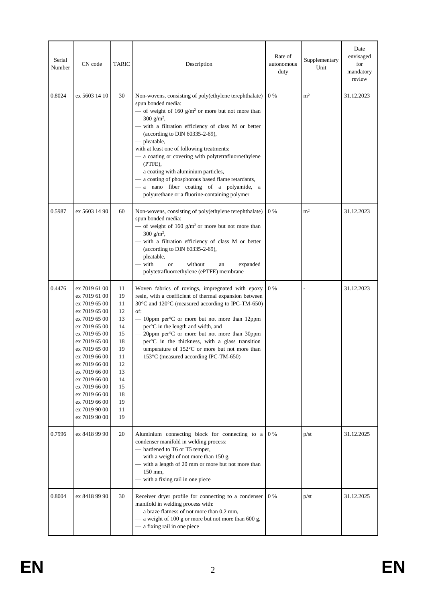| Serial<br>Number | CN code                                                                                                                                                                                                                                                                                                        | <b>TARIC</b>                                                                                             | Description                                                                                                                                                                                                                                                                                                                                                                                                                                                                                                                                                           | Rate of<br>autonomous<br>duty | Supplementary<br>Unit | Date<br>envisaged<br>for<br>mandatory<br>review |
|------------------|----------------------------------------------------------------------------------------------------------------------------------------------------------------------------------------------------------------------------------------------------------------------------------------------------------------|----------------------------------------------------------------------------------------------------------|-----------------------------------------------------------------------------------------------------------------------------------------------------------------------------------------------------------------------------------------------------------------------------------------------------------------------------------------------------------------------------------------------------------------------------------------------------------------------------------------------------------------------------------------------------------------------|-------------------------------|-----------------------|-------------------------------------------------|
| 0.8024           | ex 5603 14 10                                                                                                                                                                                                                                                                                                  | 30                                                                                                       | Non-wovens, consisting of poly(ethylene terephthalate)<br>spun bonded media:<br>— of weight of 160 $g/m^2$ or more but not more than<br>300 $g/m^2$ ,<br>with a filtration efficiency of class M or better<br>(according to DIN 60335-2-69),<br>- pleatable,<br>with at least one of following treatments:<br>- a coating or covering with polytetrafluoroethylene<br>(PTFE),<br>a coating with aluminium particles,<br>- a coating of phosphorous based flame retardants,<br>a nano fiber coating of a polyamide, a<br>polyurethane or a fluorine-containing polymer | $0\%$                         | m <sup>2</sup>        | 31.12.2023                                      |
| 0.5987           | ex 5603 14 90                                                                                                                                                                                                                                                                                                  | 60                                                                                                       | Non-wovens, consisting of poly(ethylene terephthalate)<br>spun bonded media:<br>— of weight of 160 $g/m^2$ or more but not more than<br>300 $g/m^2$ ,<br>- with a filtration efficiency of class M or better<br>(according to DIN 60335-2-69),<br>- pleatable,<br>with<br>without<br><sub>or</sub><br>expanded<br>an<br>polytetrafluoroethylene (ePTFE) membrane                                                                                                                                                                                                      | $0\%$                         | m <sup>2</sup>        | 31.12.2023                                      |
| 0.4476           | ex 7019 61 00<br>ex 7019 61 00<br>ex 7019 65 00<br>ex 7019 65 00<br>ex 7019 65 00<br>ex 7019 65 00<br>ex 7019 65 00<br>ex 7019 65 00<br>ex 7019 65 00<br>ex 7019 66 00<br>ex 7019 66 00<br>ex 7019 66 00<br>ex 7019 66 00<br>ex 7019 66 00<br>ex 7019 66 00<br>ex 7019 66 00<br>ex 7019 90 00<br>ex 7019 90 00 | 11<br>19<br>11<br>12<br>13<br>14<br>15<br>18<br>19<br>11<br>12<br>13<br>14<br>15<br>18<br>19<br>11<br>19 | Woven fabrics of rovings, impregnated with epoxy<br>resin, with a coefficient of thermal expansion between<br>30°C and 120°C (measured according to IPC-TM-650)<br>of:<br>$-$ 10ppm per <sup>o</sup> C or more but not more than 12ppm<br>per <sup>o</sup> C in the length and width, and<br>20ppm per <sup>o</sup> C or more but not more than 30ppm<br>per°C in the thickness, with a glass transition<br>temperature of 152°C or more but not more than<br>153°C (measured according IPC-TM-650)                                                                   | 0 %                           |                       | 31.12.2023                                      |
| 0.7996           | ex 8418 99 90                                                                                                                                                                                                                                                                                                  | 20                                                                                                       | Aluminium connecting block for connecting to a<br>condenser manifold in welding process:<br>- hardened to T6 or T5 temper,<br>- with a weight of not more than 150 g,<br>- with a length of 20 mm or more but not more than<br>150 mm,<br>- with a fixing rail in one piece                                                                                                                                                                                                                                                                                           | 0 %                           | p/st                  | 31.12.2025                                      |
| 0.8004           | ex 8418 99 90                                                                                                                                                                                                                                                                                                  | 30                                                                                                       | Receiver dryer profile for connecting to a condenser<br>manifold in welding process with:<br>- a braze flatness of not more than 0,2 mm,<br>a weight of 100 g or more but not more than 600 g,<br>- a fixing rail in one piece                                                                                                                                                                                                                                                                                                                                        | $0\%$                         | p/st                  | 31.12.2025                                      |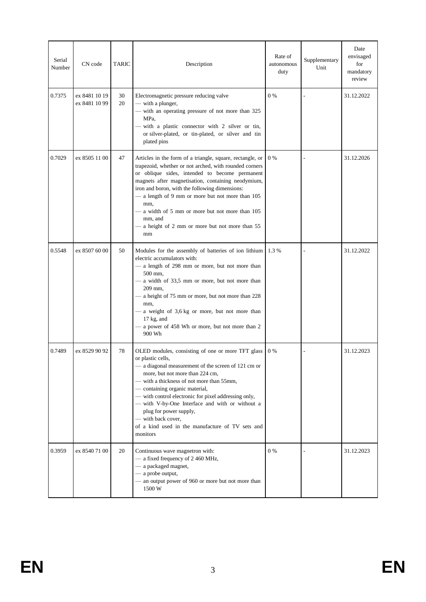| Serial<br>Number | CN code                        | TARIC    | Description                                                                                                                                                                                                                                                                                                                                                                                                                                                              | Rate of<br>autonomous<br>duty | Supplementary<br>Unit | Date<br>envisaged<br>for<br>mandatory<br>review |
|------------------|--------------------------------|----------|--------------------------------------------------------------------------------------------------------------------------------------------------------------------------------------------------------------------------------------------------------------------------------------------------------------------------------------------------------------------------------------------------------------------------------------------------------------------------|-------------------------------|-----------------------|-------------------------------------------------|
| 0.7375           | ex 8481 10 19<br>ex 8481 10 99 | 30<br>20 | Electromagnetic pressure reducing valve<br>— with a plunger,<br>- with an operating pressure of not more than 325<br>MPa,<br>- with a plastic connector with 2 silver or tin,<br>or silver-plated, or tin-plated, or silver and tin<br>plated pins                                                                                                                                                                                                                       | $0\%$                         |                       | 31.12.2022                                      |
| 0.7029           | ex 8505 11 00                  | 47       | Articles in the form of a triangle, square, rectangle, or<br>trapezoid, whether or not arched, with rounded corners<br>or oblique sides, intended to become permanent<br>magnets after magnetisation, containing neodymium,<br>iron and boron, with the following dimensions:<br>- a length of 9 mm or more but not more than 105<br>mm,<br>- a width of 5 mm or more but not more than 105<br>mm, and<br>- a height of 2 mm or more but not more than 55<br>mm          | $0\%$                         |                       | 31.12.2026                                      |
| 0.5548           | ex 8507 60 00                  | 50       | Modules for the assembly of batteries of ion lithium<br>electric accumulators with:<br>- a length of 298 mm or more, but not more than<br>500 mm,<br>- a width of 33,5 mm or more, but not more than<br>209 mm,<br>a height of 75 mm or more, but not more than 228<br>mm,<br>a weight of 3,6 kg or more, but not more than<br>$17$ kg, and<br>a power of 458 Wh or more, but not more than 2<br>900 Wh                                                                  | 1.3%                          |                       | 31.12.2022                                      |
| 0.7489           | ex 8529 90 92                  | 78       | OLED modules, consisting of one or more TFT glass<br>or plastic cells,<br>- a diagonal measurement of the screen of 121 cm or<br>more, but not more than 224 cm,<br>with a thickness of not more than 55mm,<br>- containing organic material,<br>- with control electronic for pixel addressing only,<br>- with V-by-One Interface and with or without a<br>plug for power supply,<br>- with back cover,<br>of a kind used in the manufacture of TV sets and<br>monitors | $0\%$                         |                       | 31.12.2023                                      |
| 0.3959           | ex 8540 71 00                  | 20       | Continuous wave magnetron with:<br>- a fixed frequency of 2 460 MHz,<br>- a packaged magnet,<br>- a probe output,<br>- an output power of 960 or more but not more than<br>1500 W                                                                                                                                                                                                                                                                                        | $0\%$                         |                       | 31.12.2023                                      |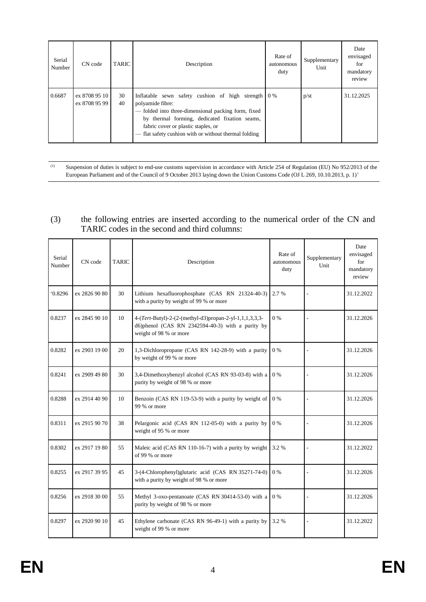| Serial<br>Number | CN code                        | <b>TARIC</b> | Description                                                                                                                                                                                                                                                                  | Rate of<br>autonomous<br>duty | Supplementary<br>Unit | Date<br>envisaged<br>for<br>mandatory<br>review |
|------------------|--------------------------------|--------------|------------------------------------------------------------------------------------------------------------------------------------------------------------------------------------------------------------------------------------------------------------------------------|-------------------------------|-----------------------|-------------------------------------------------|
| 0.6687           | ex 8708 95 10<br>ex 8708 95 99 | 30<br>40     | Inflatable sewn safety cushion of high strength 0%<br>polyamide fibre:<br>- folded into three-dimensional packing form, fixed<br>by thermal forming, dedicated fixation seams,<br>fabric cover or plastic staples, or<br>flat safety cushion with or without thermal folding |                               | p/st                  | 31.12.2025                                      |

(1) Suspension of duties is subject to end-use customs supervision in accordance with Article 254 of Regulation (EU) No 952/2013 of the European Parliament and of the Council of 9 October 2013 laying down the Union Customs Code (OJ L 269, 10.10.2013, p. 1)'

#### (3) the following entries are inserted according to the numerical order of the CN and TARIC codes in the second and third columns:

| Serial<br>Number | CN code       | <b>TARIC</b> | Description                                                                                                                           | Rate of<br>autonomous<br>duty | Supplementary<br>Unit | Date<br>envisaged<br>for<br>mandatory<br>review |
|------------------|---------------|--------------|---------------------------------------------------------------------------------------------------------------------------------------|-------------------------------|-----------------------|-------------------------------------------------|
| 0.8296           | ex 2826 90 80 | 30           | Lithium hexafluorophosphate (CAS RN 21324-40-3)<br>with a purity by weight of 99 % or more                                            | 2.7 %                         |                       | 31.12.2022                                      |
| 0.8237           | ex 2845 90 10 | 10           | 4-(Tert-Butyl)-2-(2-(methyl-d3)propan-2-yl-1,1,1,3,3,3-<br>d6)phenol (CAS RN 2342594-40-3) with a purity by<br>weight of 98 % or more | $0\%$                         |                       | 31.12.2026                                      |
| 0.8282           | ex 2903 19 00 | 20           | 1,3-Dichloropropane (CAS RN 142-28-9) with a purity<br>by weight of 99 % or more                                                      | $0\%$                         |                       | 31.12.2026                                      |
| 0.8241           | ex 2909 49 80 | 30           | 3,4-Dimethoxybenzyl alcohol (CAS RN 93-03-8) with a<br>purity by weight of 98 % or more                                               | 0%                            |                       | 31.12.2026                                      |
| 0.8288           | ex 2914 40 90 | 10           | Benzoin (CAS RN 119-53-9) with a purity by weight of<br>99 % or more                                                                  | $0\%$                         |                       | 31.12.2026                                      |
| 0.8311           | ex 2915 90 70 | 38           | Pelargonic acid (CAS RN 112-05-0) with a purity by<br>weight of 95 % or more                                                          | $0\%$                         |                       | 31.12.2026                                      |
| 0.8302           | ex 2917 19 80 | 55           | Maleic acid (CAS RN 110-16-7) with a purity by weight<br>of 99 % or more                                                              | 3.2 %                         |                       | 31.12.2022                                      |
| 0.8255           | ex 2917 39 95 | 45           | 3-(4-Chlorophenyl)glutaric acid (CAS RN 35271-74-0)<br>with a purity by weight of 98 % or more                                        | $0\%$                         |                       | 31.12.2026                                      |
| 0.8256           | ex 2918 30 00 | 55           | Methyl 3-oxo-pentanoate (CAS RN 30414-53-0) with a<br>purity by weight of 98 % or more                                                | $0\%$                         |                       | 31.12.2026                                      |
| 0.8297           | ex 2920 90 10 | 45           | Ethylene carbonate (CAS RN 96-49-1) with a purity by<br>weight of 99 % or more                                                        | 3.2 %                         |                       | 31.12.2022                                      |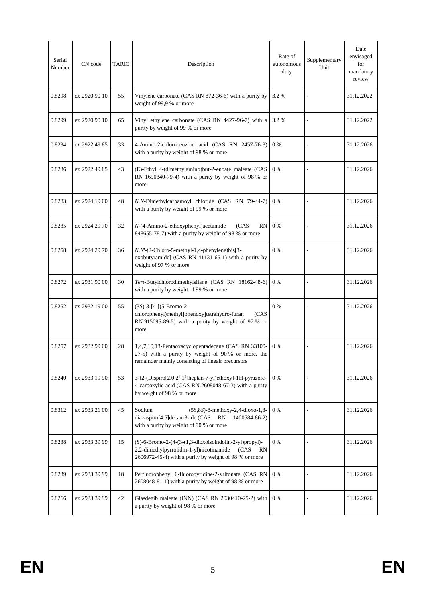| Serial<br>Number | CN code       | <b>TARIC</b> | Description                                                                                                                                                                   | Rate of<br>autonomous<br>duty | Supplementary<br>Unit | Date<br>envisaged<br>for<br>mandatory<br>review |
|------------------|---------------|--------------|-------------------------------------------------------------------------------------------------------------------------------------------------------------------------------|-------------------------------|-----------------------|-------------------------------------------------|
| 0.8298           | ex 2920 90 10 | 55           | Vinylene carbonate (CAS RN 872-36-6) with a purity by<br>weight of 99,9 % or more                                                                                             | 3.2%                          |                       | 31.12.2022                                      |
| 0.8299           | ex 2920 90 10 | 65           | Vinyl ethylene carbonate (CAS RN 4427-96-7) with a<br>purity by weight of 99 % or more                                                                                        | 3.2%                          |                       | 31.12.2022                                      |
| 0.8234           | ex 2922 49 85 | 33           | 4-Amino-2-chlorobenzoic acid (CAS RN 2457-76-3)<br>with a purity by weight of 98 % or more                                                                                    | $0\%$                         |                       | 31.12.2026                                      |
| 0.8236           | ex 2922 49 85 | 43           | (E)-Ethyl 4-(dimethylamino)but-2-enoate maleate (CAS<br>RN 1690340-79-4) with a purity by weight of 98 % or<br>more                                                           | 0 %                           |                       | 31.12.2026                                      |
| 0.8283           | ex 2924 19 00 | 48           | N,N-Dimethylcarbamoyl chloride (CAS RN 79-44-7)<br>with a purity by weight of 99 % or more                                                                                    | $0\%$                         |                       | 31.12.2026                                      |
| 0.8235           | ex 2924 29 70 | 32           | $N-(4-Amino-2-ethoxyphenyl)$ acetamide<br>(CAS)<br>RN<br>848655-78-7) with a purity by weight of 98 % or more                                                                 | $0\%$                         |                       | 31.12.2026                                      |
| 0.8258           | ex 2924 29 70 | 36           | $N, N$ -(2-Chloro-5-methyl-1,4-phenylene) $bis[3-$<br>oxobutyramide] (CAS RN 41131-65-1) with a purity by<br>weight of 97 % or more                                           | $0\%$                         |                       | 31.12.2026                                      |
| 0.8272           | ex 2931 90 00 | 30           | Tert-Butylchlorodimethylsilane (CAS RN 18162-48-6)<br>with a purity by weight of 99 % or more                                                                                 | $0\%$                         |                       | 31.12.2026                                      |
| 0.8252           | ex 2932 19 00 | 55           | $(3S)$ -3-[4-[(5-Bromo-2-<br>chlorophenyl)methyl]phenoxy]tetrahydro-furan<br>(CAS)<br>RN 915095-89-5) with a purity by weight of 97 % or<br>more                              | $0\%$                         |                       | 31.12.2026                                      |
| 0.8257           | ex 2932 99 00 | 28           | 1,4,7,10,13-Pentaoxacyclopentadecane (CAS RN 33100-<br>27-5) with a purity by weight of 90 % or more, the<br>remainder mainly consisting of lineair precursors                | $0\%$                         |                       | 31.12.2026                                      |
| 0.8240           | ex 2933 19 90 | 53           | 3-[2-(Dispiro[2.0.2 <sup>4</sup> .1 <sup>3</sup> ]heptan-7-yl)ethoxy]-1H-pyrazole-<br>4-carboxylic acid (CAS RN 2608048-67-3) with a purity<br>by weight of 98 % or more      | $0\%$                         |                       | 31.12.2026                                      |
| 0.8312           | ex 2933 21 00 | 45           | Sodium<br>$(5S, 8S)$ -8-methoxy-2,4-dioxo-1,3-<br>diazaspiro[4.5]decan-3-ide (CAS RN<br>1400584-86-2)<br>with a purity by weight of 90 % or more                              | $0\%$                         |                       | 31.12.2026                                      |
| 0.8238           | ex 2933 39 99 | 15           | $(S)$ -6-Bromo-2-(4-(3-(1,3-dioxoisoindolin-2-yl)propyl)-<br>2,2-dimethylpyrrolidin-1-yl)nicotinamide<br>(CAS)<br>RN<br>2606972-45-4) with a purity by weight of 98 % or more | $0\%$                         |                       | 31.12.2026                                      |
| 0.8239           | ex 2933 39 99 | 18           | Perfluorophenyl 6-fluoropyridine-2-sulfonate (CAS RN<br>2608048-81-1) with a purity by weight of 98 % or more                                                                 | $0\%$                         |                       | 31.12.2026                                      |
| 0.8266           | ex 2933 39 99 | 42           | Glasdegib maleate (INN) (CAS RN 2030410-25-2) with<br>a purity by weight of 98 % or more                                                                                      | $0\%$                         |                       | 31.12.2026                                      |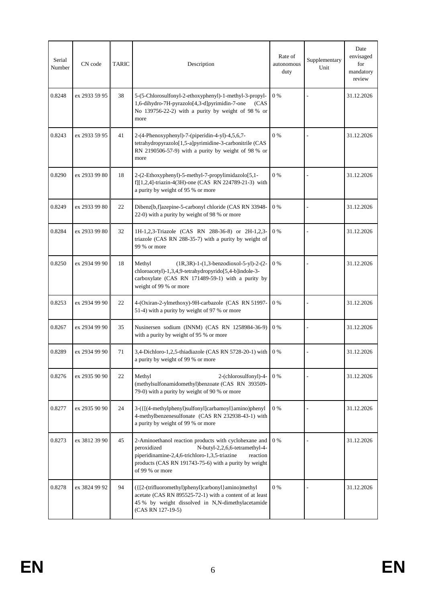| Serial<br>Number | CN code       | <b>TARIC</b> | Description                                                                                                                                                                                                                                     | Rate of<br>autonomous<br>duty | Supplementary<br>Unit | Date<br>envisaged<br>for<br>mandatory<br>review |
|------------------|---------------|--------------|-------------------------------------------------------------------------------------------------------------------------------------------------------------------------------------------------------------------------------------------------|-------------------------------|-----------------------|-------------------------------------------------|
| 0.8248           | ex 2933 59 95 | 38           | 5-(5-Chlorosulfonyl-2-ethoxyphenyl)-1-methyl-3-propyl-<br>1,6-dihydro-7H-pyrazolo[4,3-d]pyrimidin-7-one<br>(CAS)<br>No 139756-22-2) with a purity by weight of 98 % or<br>more                                                                  | $0\%$                         |                       | 31.12.2026                                      |
| 0.8243           | ex 2933 59 95 | 41           | 2-(4-Phenoxyphenyl)-7-(piperidin-4-yl)-4,5,6,7-<br>tetrahydropyrazolo[1,5-a]pyrimidine-3-carbonitrile (CAS<br>RN 2190506-57-9) with a purity by weight of 98 % or<br>more                                                                       | $0\%$                         |                       | 31.12.2026                                      |
| 0.8290           | ex 2933 99 80 | 18           | 2-(2-Ethoxyphenyl)-5-methyl-7-propylimidazolo[5,1-<br>f][1,2,4]-triazin-4(3H)-one (CAS RN 224789-21-3) with<br>a purity by weight of 95 % or more                                                                                               | $0\%$                         |                       | 31.12.2026                                      |
| 0.8249           | ex 2933 99 80 | 22           | Dibenz[b,f]azepine-5-carbonyl chloride (CAS RN 33948-<br>22-0) with a purity by weight of 98 % or more                                                                                                                                          | 0 %                           |                       | 31.12.2026                                      |
| 0.8284           | ex 2933 99 80 | 32           | 1H-1,2,3-Triazole (CAS RN 288-36-8) or 2H-1,2,3-<br>triazole (CAS RN 288-35-7) with a purity by weight of<br>99 % or more                                                                                                                       | 0 %                           |                       | 31.12.2026                                      |
| 0.8250           | ex 2934 99 90 | 18           | $(1R,3R)-1-(1,3-benzodioxol-5-yl)-2-(2-$<br>Methyl<br>chloroacetyl)-1,3,4,9-tetrahydropyrido[5,4-b]indole-3-<br>carboxylate (CAS RN 171489-59-1) with a purity by<br>weight of 99 % or more                                                     | $0\%$                         |                       | 31.12.2026                                      |
| 0.8253           | ex 2934 99 90 | 22           | 4-(Oxiran-2-ylmethoxy)-9H-carbazole (CAS RN 51997-<br>51-4) with a purity by weight of 97 % or more                                                                                                                                             | 0 %                           |                       | 31.12.2026                                      |
| 0.8267           | ex 2934 99 90 | 35           | Nusinersen sodium (INNM) (CAS RN 1258984-36-9)<br>with a purity by weight of 95 % or more                                                                                                                                                       | 0 %                           |                       | 31.12.2026                                      |
| 0.8289           | ex 2934 99 90 | 71           | 3,4-Dichloro-1,2,5-thiadiazole (CAS RN 5728-20-1) with<br>a purity by weight of 99 % or more                                                                                                                                                    | 0 %                           |                       | 31.12.2026                                      |
| 0.8276           | ex 2935 90 90 | 22           | Methyl<br>2-(chlorosulfonyl)-4-<br>(methylsulfonamidomethyl)benzoate (CAS RN 393509-<br>79-0) with a purity by weight of 90 % or more                                                                                                           | $0\%$                         |                       | 31.12.2026                                      |
| 0.8277           | ex 2935 90 90 | 24           | 3-({[(4-methylphenyl)sulfonyl]carbamoyl}amino)phenyl<br>4-methylbenzenesulfonate (CAS RN 232938-43-1) with<br>a purity by weight of 99 % or more                                                                                                | $0\%$                         |                       | 31.12.2026                                      |
| 0.8273           | ex 3812 39 90 | 45           | 2-Aminoethanol reaction products with cyclohexane and<br>peroxidized<br>N-butyl-2,2,6,6-tetramethyl-4-<br>piperidinamine-2,4,6-trichloro-1,3,5-triazine<br>reaction<br>products (CAS RN 191743-75-6) with a purity by weight<br>of 99 % or more | $0\%$                         |                       | 31.12.2026                                      |
| 0.8278           | ex 3824 99 92 | 94           | ({[2-(trifluoromethyl)phenyl]carbonyl}amino)methyl<br>acetate (CAS RN 895525-72-1) with a content of at least<br>45 % by weight dissolved in N,N-dimethylacetamide<br>(CAS RN 127-19-5)                                                         | $0\%$                         |                       | 31.12.2026                                      |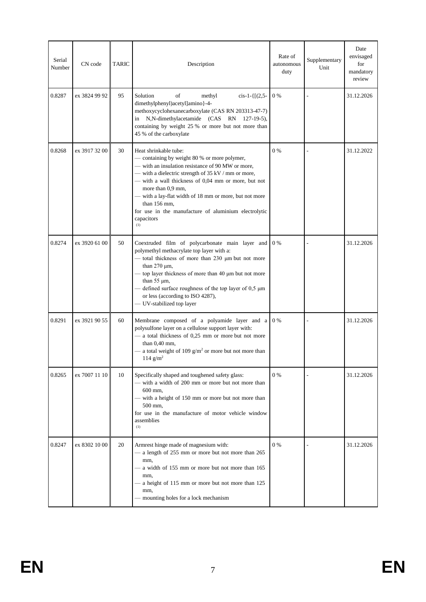| Serial<br>Number | CN code       | TARIC | Description                                                                                                                                                                                                                                                                                                                                                                                                            | Rate of<br>autonomous<br>duty | Supplementary<br>Unit | Date<br>envisaged<br>for<br>mandatory<br>review |
|------------------|---------------|-------|------------------------------------------------------------------------------------------------------------------------------------------------------------------------------------------------------------------------------------------------------------------------------------------------------------------------------------------------------------------------------------------------------------------------|-------------------------------|-----------------------|-------------------------------------------------|
| 0.8287           | ex 3824 99 92 | 95    | of<br>Solution<br>$cis-1-\{[(2,5-$<br>methyl<br>dimethylphenyl)acetyl]amino}-4-<br>methoxycyclohexanecarboxylate (CAS RN 203313-47-7)<br>N,N-dimethylacetamide (CAS<br>RN 127-19-5),<br>in<br>containing by weight 25 % or more but not more than<br>45 % of the carboxylate                                                                                                                                           | $0\%$                         |                       | 31.12.2026                                      |
| 0.8268           | ex 3917 32 00 | 30    | Heat shrinkable tube:<br>- containing by weight 80 % or more polymer,<br>- with an insulation resistance of 90 MW or more,<br>— with a dielectric strength of $35$ kV / mm or more,<br>- with a wall thickness of 0,04 mm or more, but not<br>more than 0,9 mm,<br>- with a lay-flat width of 18 mm or more, but not more<br>than 156 mm,<br>for use in the manufacture of aluminium electrolytic<br>capacitors<br>(1) | $0\%$                         |                       | 31.12.2022                                      |
| 0.8274           | ex 3920 61 00 | 50    | Coextruded film of polycarbonate main layer and<br>polymethyl methacrylate top layer with a:<br>- total thickness of more than 230 µm but not more<br>than $270 \mu m$ ,<br>- top layer thickness of more than 40 µm but not more<br>than $55 \mu m$ ,<br>defined surface roughness of the top layer of 0,5 µm<br>or less (according to ISO 4287),<br>- UV-stabilized top layer                                        | $0\%$                         |                       | 31.12.2026                                      |
| 0.8291           | ex 3921 90 55 | 60    | Membrane composed of a polyamide layer and a<br>polysulfone layer on a cellulose support layer with:<br>- a total thickness of 0,25 mm or more but not more<br>than $0.40$ mm,<br>a total weight of 109 $g/m^2$ or more but not more than<br>114 $g/m^2$                                                                                                                                                               | $0\%$                         |                       | 31.12.2026                                      |
| 0.8265           | ex 7007 11 10 | 10    | Specifically shaped and toughened safety glass:<br>- with a width of 200 mm or more but not more than<br>600 mm.<br>- with a height of 150 mm or more but not more than<br>500 mm,<br>for use in the manufacture of motor vehicle window<br>assemblies<br>(1)                                                                                                                                                          | $0\%$                         |                       | 31.12.2026                                      |
| 0.8247           | ex 8302 10 00 | 20    | Armrest hinge made of magnesium with:<br>- a length of 255 mm or more but not more than 265<br>mm,<br>a width of 155 mm or more but not more than 165<br>mm,<br>a height of 115 mm or more but not more than 125<br>mm,<br>- mounting holes for a lock mechanism                                                                                                                                                       | $0\%$                         |                       | 31.12.2026                                      |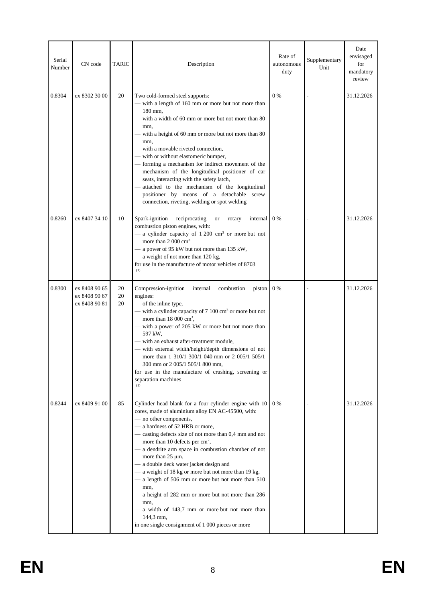| Serial<br>Number | CN code                                         | <b>TARIC</b>       | Description                                                                                                                                                                                                                                                                                                                                                                                                                                                                                                                                                                                                                                                                                                         | Rate of<br>autonomous<br>duty | Supplementary<br>Unit | Date<br>envisaged<br>for<br>mandatory<br>review |
|------------------|-------------------------------------------------|--------------------|---------------------------------------------------------------------------------------------------------------------------------------------------------------------------------------------------------------------------------------------------------------------------------------------------------------------------------------------------------------------------------------------------------------------------------------------------------------------------------------------------------------------------------------------------------------------------------------------------------------------------------------------------------------------------------------------------------------------|-------------------------------|-----------------------|-------------------------------------------------|
| 0.8304           | ex 8302 30 00                                   | 20                 | Two cold-formed steel supports:<br>with a length of 160 mm or more but not more than<br>180 mm.<br>— with a width of 60 mm or more but not more than 80<br>mm,<br>with a height of 60 mm or more but not more than 80<br>mm,<br>- with a movable riveted connection,<br>- with or without elastomeric bumper,<br>- forming a mechanism for indirect movement of the<br>mechanism of the longitudinal positioner of car<br>seats, interacting with the safety latch,<br>attached to the mechanism of the longitudinal<br>positioner by means of a detachable screw<br>connection, riveting, welding or spot welding                                                                                                  | $0\%$                         |                       | 31.12.2026                                      |
| 0.8260           | ex 8407 34 10                                   | 10                 | Spark-ignition<br>reciprocating<br>internal<br><b>or</b><br>rotary<br>combustion piston engines, with:<br>- a cylinder capacity of $1200 \text{ cm}^3$ or more but not<br>more than 2 000 cm <sup>3</sup><br>- a power of 95 kW but not more than 135 kW,<br>- a weight of not more than 120 kg,<br>for use in the manufacture of motor vehicles of 8703<br>(1)                                                                                                                                                                                                                                                                                                                                                     | $0\%$                         |                       | 31.12.2026                                      |
| 0.8300           | ex 8408 90 65<br>ex 8408 90 67<br>ex 8408 90 81 | 20<br>$20\,$<br>20 | Compression-ignition<br>internal<br>combustion<br>piston<br>engines:<br>- of the inline type,<br>- with a cylinder capacity of 7 100 cm <sup>3</sup> or more but not<br>more than $18000 \text{ cm}^3$ ,<br>with a power of 205 kW or more but not more than<br>597 kW.<br>- with an exhaust after-treatment module,<br>- with external width/height/depth dimensions of not<br>more than 1 310/1 300/1 040 mm or 2 005/1 505/1<br>300 mm or 2 005/1 505/1 800 mm,<br>for use in the manufacture of crushing, screening or<br>separation machines<br>(1)                                                                                                                                                            | 0 %                           |                       | 31.12.2026                                      |
| 0.8244           | ex 8409 91 00                                   | 85                 | Cylinder head blank for a four cylinder engine with 10<br>cores, made of aluminium alloy EN AC-45500, with:<br>- no other components,<br>- a hardness of 52 HRB or more,<br>- casting defects size of not more than 0,4 mm and not<br>more than 10 defects per cm <sup>2</sup> ,<br>- a dendrite arm space in combustion chamber of not<br>more than $25 \mu m$ ,<br>- a double deck water jacket design and<br>- a weight of 18 kg or more but not more than 19 kg,<br>- a length of 506 mm or more but not more than 510<br>mm,<br>- a height of 282 mm or more but not more than 286<br>mm,<br>- a width of 143,7 mm or more but not more than<br>144,3 mm,<br>in one single consignment of 1 000 pieces or more | 0 %                           |                       | 31.12.2026                                      |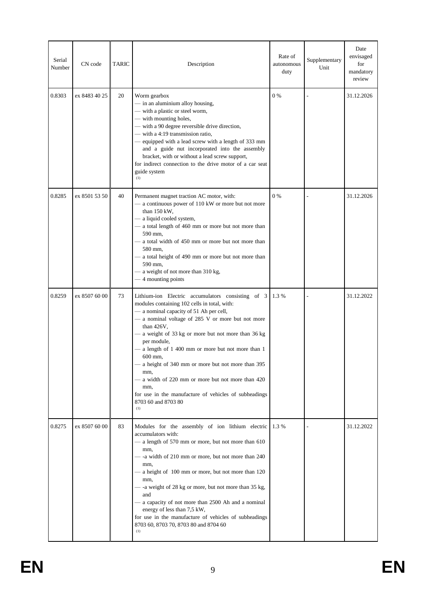| Serial<br>Number | CN code       | TARIC | Description                                                                                                                                                                                                                                                                                                                                                                                                                                                                                                                                                        | Rate of<br>autonomous<br>duty | Supplementary<br>Unit | Date<br>envisaged<br>for<br>mandatory<br>review |
|------------------|---------------|-------|--------------------------------------------------------------------------------------------------------------------------------------------------------------------------------------------------------------------------------------------------------------------------------------------------------------------------------------------------------------------------------------------------------------------------------------------------------------------------------------------------------------------------------------------------------------------|-------------------------------|-----------------------|-------------------------------------------------|
| 0.8303           | ex 8483 40 25 | 20    | Worm gearbox<br>- in an aluminium alloy housing,<br>- with a plastic or steel worm,<br>- with mounting holes,<br>- with a 90 degree reversible drive direction,<br>- with a 4:19 transmission ratio,<br>equipped with a lead screw with a length of 333 mm<br>and a guide nut incorporated into the assembly<br>bracket, with or without a lead screw support,<br>for indirect connection to the drive motor of a car seat<br>guide system<br>(1)                                                                                                                  | $0\%$                         |                       | 31.12.2026                                      |
| 0.8285           | ex 8501 53 50 | 40    | Permanent magnet traction AC motor, with:<br>- a continuous power of 110 kW or more but not more<br>than 150 kW,<br>- a liquid cooled system,<br>- a total length of 460 mm or more but not more than<br>590 mm.<br>- a total width of 450 mm or more but not more than<br>580 mm.<br>- a total height of 490 mm or more but not more than<br>590 mm.<br>- a weight of not more than 310 kg,<br>- 4 mounting points                                                                                                                                                | $0\%$                         |                       | 31.12.2026                                      |
| 0.8259           | ex 8507 60 00 | 73    | Lithium-ion Electric accumulators consisting of 3<br>modules containing 102 cells in total, with:<br>- a nominal capacity of 51 Ah per cell,<br>- a nominal voltage of 285 V or more but not more<br>than 426V,<br>- a weight of 33 kg or more but not more than 36 kg<br>per module,<br>a length of 1 400 mm or more but not more than 1<br>600 mm,<br>a height of 340 mm or more but not more than 395<br>mm,<br>- a width of 220 mm or more but not more than 420<br>mm,<br>for use in the manufacture of vehicles of subheadings<br>8703 60 and 8703 80<br>(1) | 1.3%                          |                       | 31.12.2022                                      |
| 0.8275           | ex 8507 60 00 | 83    | Modules for the assembly of ion lithium electric<br>accumulators with:<br>- a length of 570 mm or more, but not more than 610<br>mm,<br>- -a width of 210 mm or more, but not more than 240<br>mm,<br>a height of 100 mm or more, but not more than 120<br>mm,<br>- -a weight of 28 kg or more, but not more than 35 kg,<br>and<br>- a capacity of not more than 2500 Ah and a nominal<br>energy of less than 7,5 kW,<br>for use in the manufacture of vehicles of subheadings<br>8703 60, 8703 70, 8703 80 and 8704 60<br>(1)                                     | 1.3 %                         |                       | 31.12.2022                                      |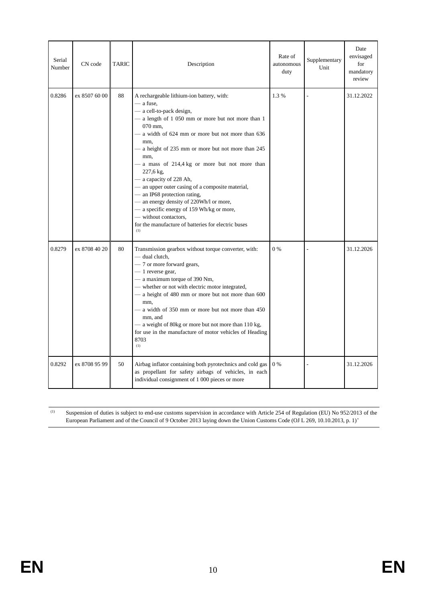| Serial<br>Number | CN code       | <b>TARIC</b> | Description                                                                                                                                                                                                                                                                                                                                                                                                                                                                                                                                                                                                                             | Rate of<br>autonomous<br>duty | Supplementary<br>Unit | Date<br>envisaged<br>for<br>mandatory<br>review |
|------------------|---------------|--------------|-----------------------------------------------------------------------------------------------------------------------------------------------------------------------------------------------------------------------------------------------------------------------------------------------------------------------------------------------------------------------------------------------------------------------------------------------------------------------------------------------------------------------------------------------------------------------------------------------------------------------------------------|-------------------------------|-----------------------|-------------------------------------------------|
| 0.8286           | ex 8507 60 00 | 88           | A rechargeable lithium-ion battery, with:<br>— a fuse,<br>- a cell-to-pack design,<br>- a length of 1 050 mm or more but not more than 1<br>070 mm.<br>- a width of 624 mm or more but not more than 636<br>mm,<br>- a height of 235 mm or more but not more than 245<br>mm,<br>a mass of 214,4 kg or more but not more than<br>227,6 kg,<br>- a capacity of 228 Ah,<br>- an upper outer casing of a composite material,<br>— an IP68 protection rating,<br>- an energy density of 220Wh/l or more,<br>- a specific energy of 159 Wh/kg or more,<br>- without contactors,<br>for the manufacture of batteries for electric buses<br>(1) | 1.3%                          |                       | 31.12.2022                                      |
| 0.8279           | ex 8708 40 20 | 80           | Transmission gearbox without torque converter, with:<br>- dual clutch,<br>- 7 or more forward gears,<br>$-1$ reverse gear,<br>- a maximum torque of 390 Nm,<br>- whether or not with electric motor integrated,<br>- a height of 480 mm or more but not more than 600<br>mm,<br>- a width of 350 mm or more but not more than 450<br>mm, and<br>- a weight of 80kg or more but not more than 110 kg,<br>for use in the manufacture of motor vehicles of Heading<br>8703<br>(1)                                                                                                                                                          | 0%                            |                       | 31.12.2026                                      |
| 0.8292           | ex 8708 95 99 | 50           | Airbag inflator containing both pyrotechnics and cold gas<br>as propellant for safety airbags of vehicles, in each<br>individual consignment of 1 000 pieces or more                                                                                                                                                                                                                                                                                                                                                                                                                                                                    | $0\%$                         |                       | 31.12.2026                                      |

(1) Suspension of duties is subject to end-use customs supervision in accordance with Article 254 of Regulation (EU) No 952/2013 of the European Parliament and of the Council of 9 October 2013 laying down the Union Customs Code (OJ L 269, 10.10.2013, p. 1)'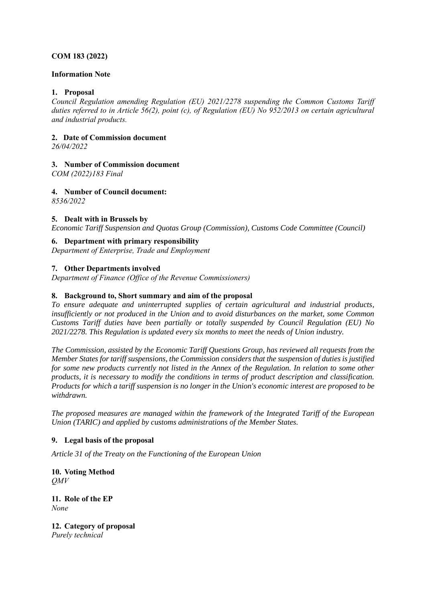#### **COM 183 (2022)**

#### **Information Note**

#### **1. Proposal**

*Council Regulation amending Regulation (EU) 2021/2278 suspending the Common Customs Tariff duties referred to in Article 56(2), point (c), of Regulation (EU) No 952/2013 on certain agricultural and industrial products.*

#### **2. Date of Commission document**

*26/04/2022*

#### **3. Number of Commission document**

*COM (2022)183 Final*

#### **4. Number of Council document:**

*8536/2022*

#### **5. Dealt with in Brussels by**

*Economic Tariff Suspension and Quotas Group (Commission), Customs Code Committee (Council)*

#### **6. Department with primary responsibility**

*Department of Enterprise, Trade and Employment*

#### **7. Other Departments involved**

*Department of Finance (Office of the Revenue Commissioners)*

#### **8. Background to, Short summary and aim of the proposal**

*To ensure adequate and uninterrupted supplies of certain agricultural and industrial products, insufficiently or not produced in the Union and to avoid disturbances on the market, some Common Customs Tariff duties have been partially or totally suspended by Council Regulation (EU) No 2021/2278. This Regulation is updated every six months to meet the needs of Union industry.* 

*The Commission, assisted by the Economic Tariff Questions Group, has reviewed all requests from the Member States for tariff suspensions, the Commission considers that the suspension of duties is justified for some new products currently not listed in the Annex of the Regulation. In relation to some other products, it is necessary to modify the conditions in terms of product description and classification. Products for which a tariff suspension is no longer in the Union's economic interest are proposed to be withdrawn.*

*The proposed measures are managed within the framework of the Integrated Tariff of the European Union (TARIC) and applied by customs administrations of the Member States.*

#### **9. Legal basis of the proposal**

*Article 31 of the Treaty on the Functioning of the European Union*

**10. Voting Method** *QMV* 

**11. Role of the EP** *None*

**12. Category of proposal** *Purely technical*